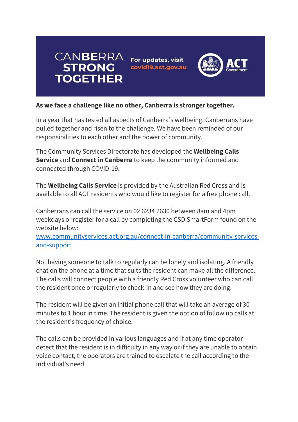

For updates, visit covid19.act.gov.au



## **As we face a challenge like no other, Canberra is stronger together.**

In a year that has tested all aspects of Canberra's wellbeing, Canberrans have pulled together and risen to the challenge. We have been reminded of our responsibilities to each other and the power of community.

The Community Services Directorate has developed the **Wellbeing Calls Service** and **Connect in Canberra** to keep the community informed and connected through COVID-19.

The **Wellbeing Calls Service** is provided by the Australian Red Cross and is available to all ACT residents who would like to register for a free phone call.

Canberrans can call the service on 02 6234 7630 between 8am and 4pm weekdays or register for a call by completing the CSD SmartForm found on the website below:

[www.communityservices.act.org.au/connect-in-canberra/community-services](http://www.communityservices.act.org.au/connect-in-canberra/community-services-and-support)[and-support](http://www.communityservices.act.org.au/connect-in-canberra/community-services-and-support)

Not having someone to talk to regularly can be lonely and isolating. A friendly chat on the phone at a time that suits the resident can make all the difference. The calls will connect people with a friendly Red Cross volunteer who can call the resident once or regularly to check-in and see how they are doing.

The resident will be given an initial phone call that will take an average of 30 minutes to 1 hour in time. The resident is given the option of follow up calls at the resident's frequency of choice.

The calls can be provided in various languages and if at any time operator detect that the resident is in difficulty in any way or if they are unable to obtain voice contact, the operators are trained to escalate the call according to the individual's need.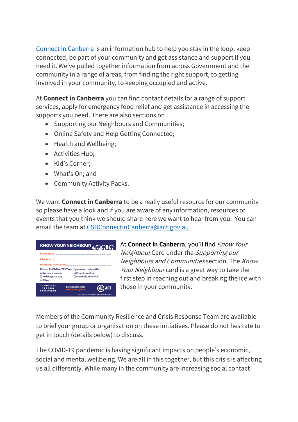Connect in [Canberra](file://///NAS125s2.act.gov.au/HousHome01/H/Hannah%20Gissane/My%20Documents/ACT.gov.au/ConnectInCanberra) is an information hub to help you stay in the loop, keep connected, be part of your community and get assistance and support if you need it. We've pulled together information from across Government and the community in a range of areas, from finding the right support, to getting involved in your community, to keeping occupied and active.

At **Connect in Canberra** you can find contact details for a range of support services, apply for emergency food relief and get assistance in accessing the supports you need. There are also sections on

- Supporting our Neighbours and Communities;
- Online Safety and Help Getting Connected;
- Health and Wellbeing;
- Activities Hub;
- Kid's Corner;
- What's On; and
- Community Activity Packs.

We want **Connect in Canberra** to be a really useful resource for our community so please have a look and if you are aware of any information, resources or events that you think we should share here we want to hear from you. You can email the team at [CSDConnectInCanberra@act.gov.au](mailto:CSDConnectInCanberra@act.gov.au)

| My name is:                                                                                                                             |
|-----------------------------------------------------------------------------------------------------------------------------------------|
|                                                                                                                                         |
| I live nearby:                                                                                                                          |
| My phone number is:                                                                                                                     |
| Please PHONE or TEXT me if you need help with:                                                                                          |
| □ Grocery shopping<br>$\Box$ Urgent supplies                                                                                            |
| $\Box$ A friendly phone call<br>$\Box$ Walking your dog                                                                                 |
| $\Box$ Other                                                                                                                            |
| CANBERRA<br>For updates, visit<br><b>STRONG</b><br>covid19.act.gov.au<br><b>TOGETHER</b><br>Produced by: Community Services Directorate |

At **Connect in Canberra**, you'll find *Know Your* Neighbour Card under the Supporting our Neighbours and Communities section. The Know Your Neighbour card is a great way to take the first step in reaching out and breaking the ice with those in your community.

Members of the Community Resilience and Crisis Response Team are available to brief your group or organisation on these initiatives. Please do not hesitate to get in touch (details below) to discuss.

The COVID-19 pandemic is having significant impacts on people's economic, social and mental wellbeing. We are all in this together, but this crisis is affecting us all differently. While many in the community are increasing social contact